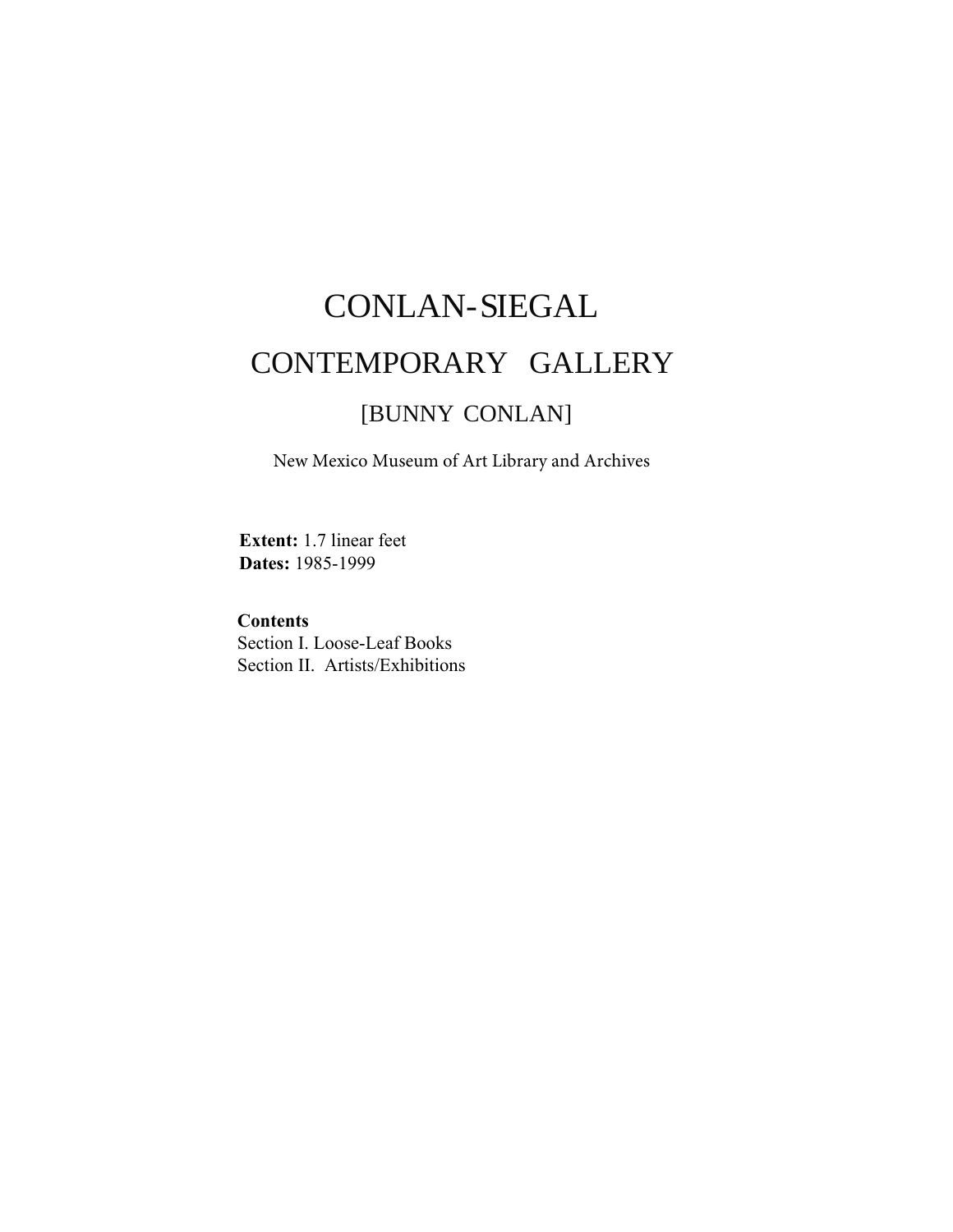# CONLAN-SIEGAL CONTEMPORARY GALLERY [BUNNY CONLAN]

New Mexico Museum of Art Library and Archives

**Extent:** 1.7 linear feet **Dates:** 1985-1999

#### **Contents**

Section I. Loose-Leaf Books Section II. Artists/Exhibitions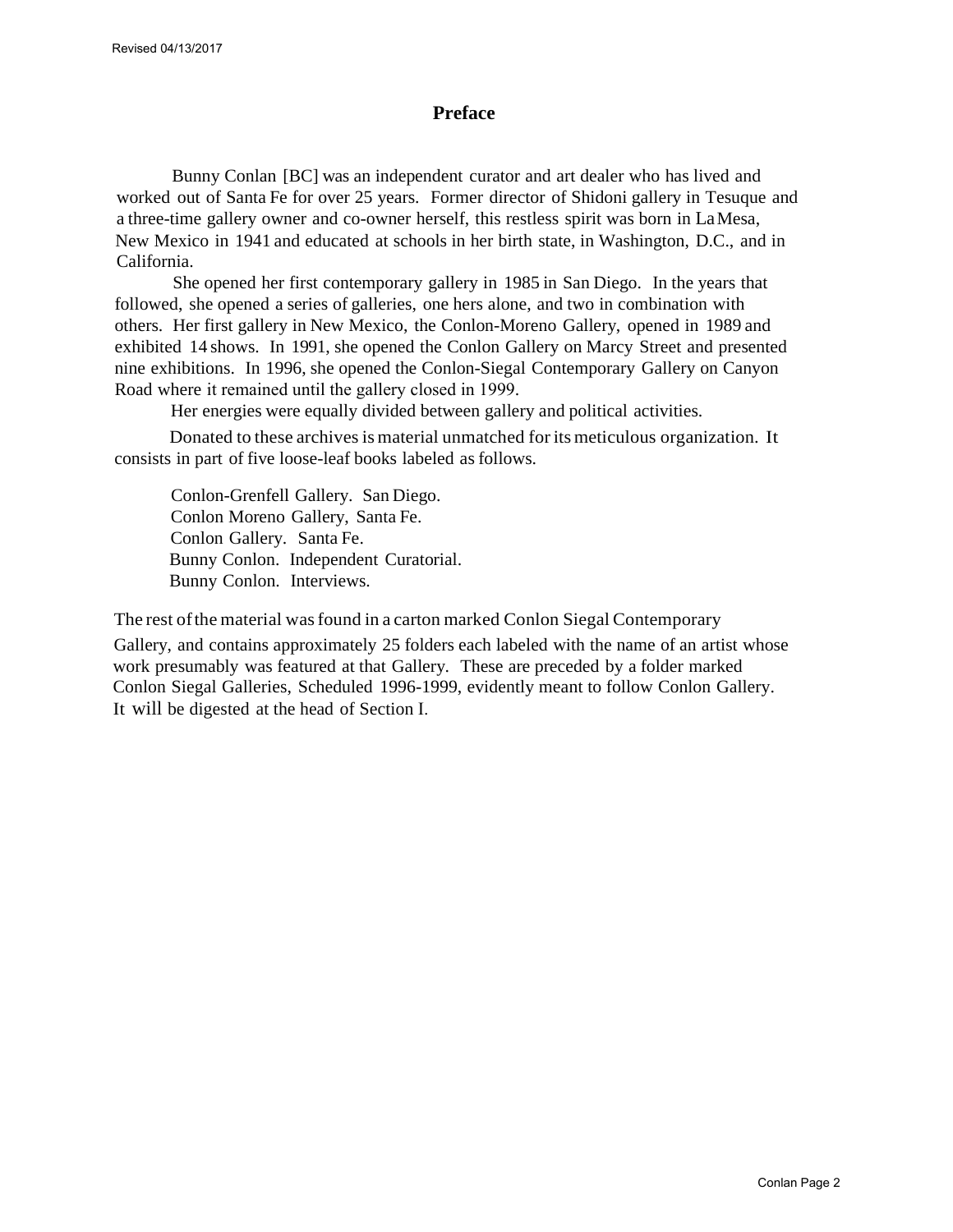#### **Preface**

Bunny Conlan [BC] was an independent curator and art dealer who has lived and worked out of Santa Fe for over 25 years. Former director of Shidoni gallery in Tesuque and a three-time gallery owner and co-owner herself, this restless spirit was born in LaMesa, New Mexico in 1941 and educated at schools in her birth state, in Washington, D.C., and in California.

She opened her first contemporary gallery in 1985 in San Diego. In the years that followed, she opened a series of galleries, one hers alone, and two in combination with others. Her first gallery in New Mexico, the Conlon-Moreno Gallery, opened in 1989 and exhibited 14 shows. In 1991, she opened the Conlon Gallery on Marcy Street and presented nine exhibitions. In 1996, she opened the Conlon-Siegal Contemporary Gallery on Canyon Road where it remained until the gallery closed in 1999.

Her energies were equally divided between gallery and political activities.

Donated to these archivesis material unmatched forits meticulous organization. It consists in part of five loose-leaf books labeled as follows.

Conlon-Grenfell Gallery. San Diego. Conlon Moreno Gallery, Santa Fe. Conlon Gallery. Santa Fe. Bunny Conlon. Independent Curatorial. Bunny Conlon. Interviews.

The rest ofthe material wasfound in a carton marked Conlon Siegal Contemporary

Gallery, and contains approximately 25 folders each labeled with the name of an artist whose work presumably was featured at that Gallery. These are preceded by a folder marked Conlon Siegal Galleries, Scheduled 1996-1999, evidently meant to follow Conlon Gallery. It will be digested at the head of Section I.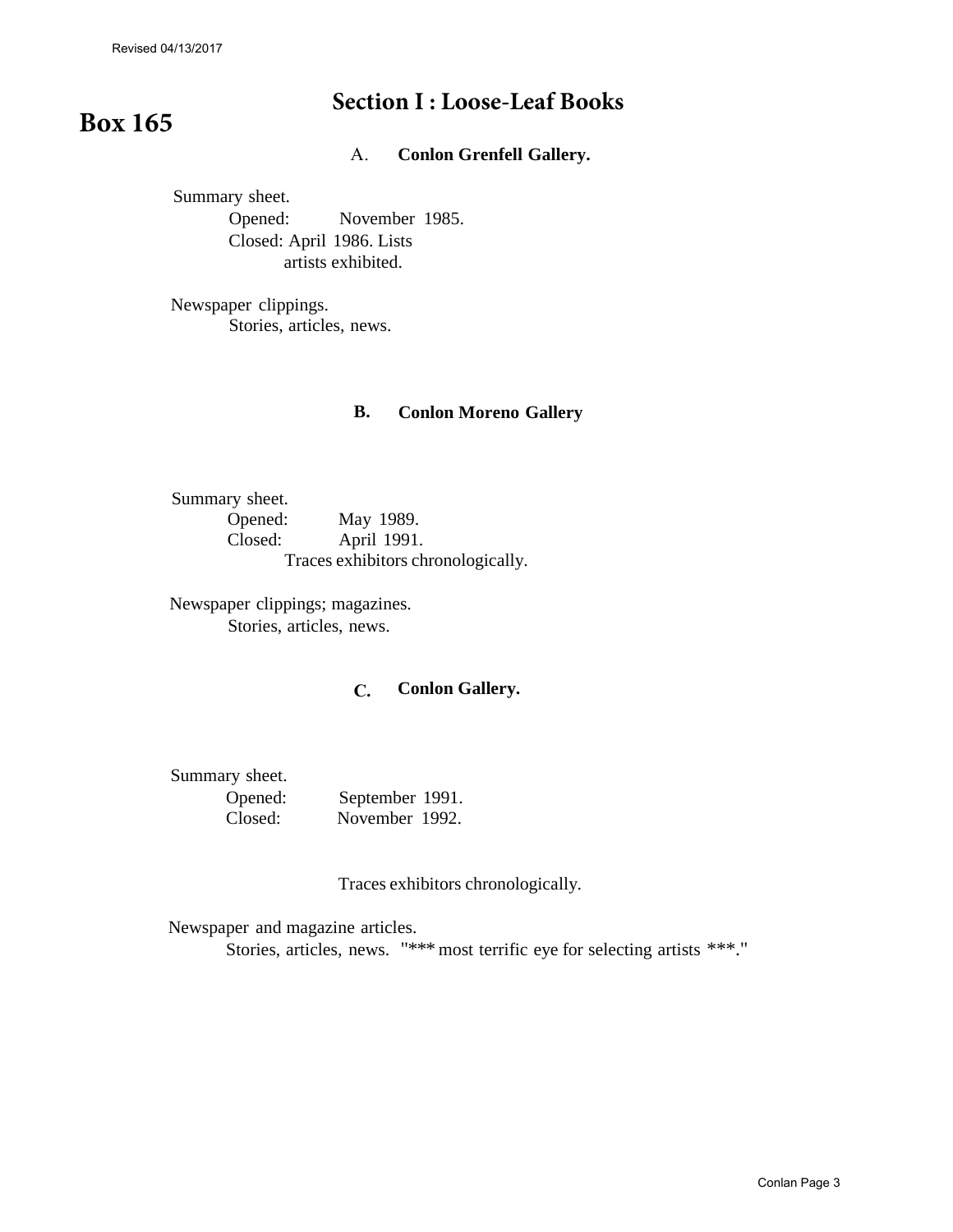### **Section I : Loose-Leaf Books**

## **Box 165**

A. **Conlon Grenfell Gallery.**

Summary sheet. Opened: November 1985. Closed: April 1986. Lists artists exhibited.

Newspaper clippings. Stories, articles, news.

#### **B. Conlon Moreno Gallery**

Summary sheet. Opened: May 1989.<br>Closed: April 1991. April 1991. Traces exhibitors chronologically.

Newspaper clippings; magazines. Stories, articles, news.

#### **C. Conlon Gallery.**

Summary sheet.

| Opened: | September 1991. |  |
|---------|-----------------|--|
| Closed: | November 1992.  |  |

Traces exhibitors chronologically.

Newspaper and magazine articles.

Stories, articles, news. "\*\*\* most terrific eye for selecting artists \*\*\*."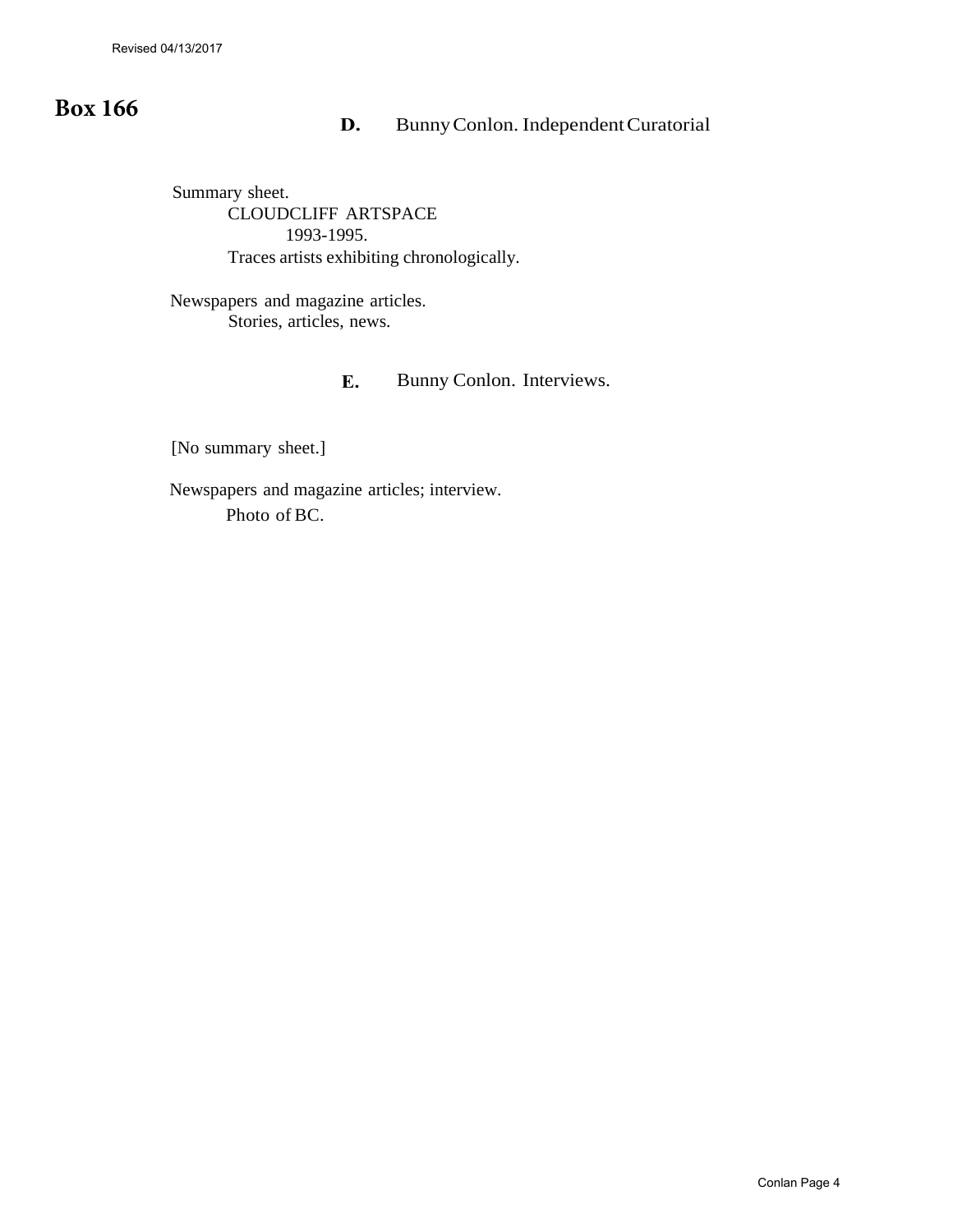### **Box 166**

### **D.** Bunny Conlon. Independent Curatorial

Summary sheet. CLOUDCLIFF ARTSPACE 1993-1995. Traces artists exhibiting chronologically.

Newspapers and magazine articles. Stories, articles, news.

#### **E.** Bunny Conlon. Interviews.

[No summary sheet.]

Newspapers and magazine articles; interview. Photo of BC.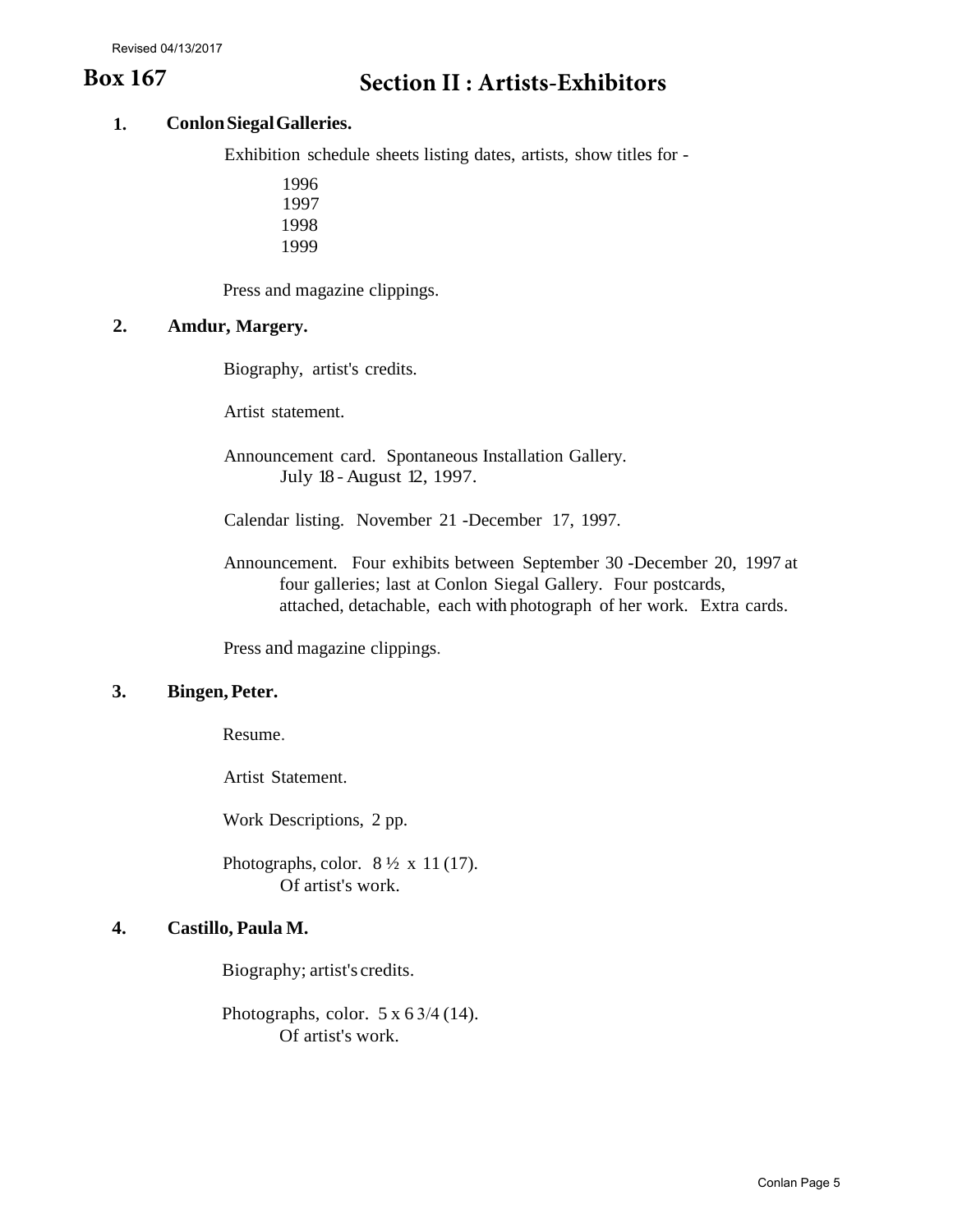#### **1. Conlon Siegal Galleries.**

Exhibition schedule sheets listing dates, artists, show titles for -

Press and magazine clippings.

#### **2. Amdur, Margery.**

Biography, artist's credits.

Artist statement.

Announcement card. Spontaneous Installation Gallery. July 18 - August 12, 1997.

Calendar listing. November 21 -December 17, 1997.

Announcement. Four exhibits between September 30 -December 20, 1997 at four galleries; last at Conlon Siegal Gallery. Four postcards, attached, detachable, each with photograph of her work. Extra cards.

Press and magazine clippings.

#### **3. Bingen, Peter.**

Resume.

Artist Statement.

Work Descriptions, 2 pp.

Photographs, color.  $8\frac{1}{2} \times 11(17)$ . Of artist's work.

#### **4. Castillo, Paula M.**

Biography; artist's credits.

Photographs, color.  $5 \times 6 \frac{3}{4}$  (14). Of artist's work.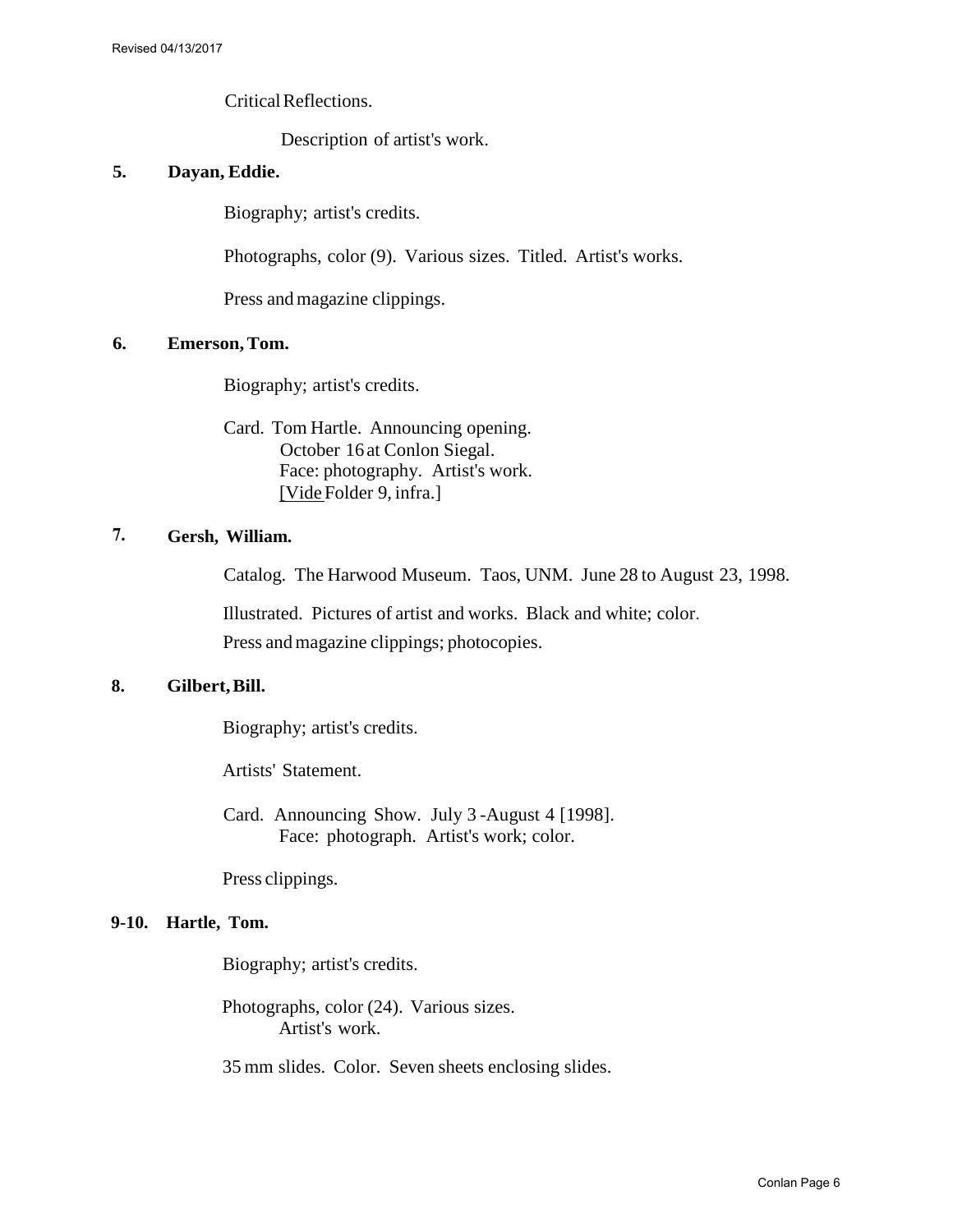Critical Reflections.

Description of artist's work.

#### **5. Dayan, Eddie.**

Biography; artist's credits.

Photographs, color (9). Various sizes. Titled. Artist's works.

Press and magazine clippings.

#### **6. Emerson,Tom.**

Biography; artist's credits.

Card. Tom Hartle. Announcing opening. October 16 at Conlon Siegal. Face: photography. Artist's work. [Vide Folder 9, infra.]

#### **7. Gersh, William.**

Catalog. The Harwood Museum. Taos, UNM. June 28 to August 23, 1998.

Illustrated. Pictures of artist and works. Black and white; color. Press and magazine clippings; photocopies.

#### **8. Gilbert, Bill.**

Biography; artist's credits.

Artists' Statement.

Card. Announcing Show. July 3 -August 4 [1998]. Face: photograph. Artist's work; color.

Press clippings.

#### **9-10. Hartle, Tom.**

Biography; artist's credits.

Photographs, color (24). Various sizes. Artist's work.

35 mm slides. Color. Seven sheets enclosing slides.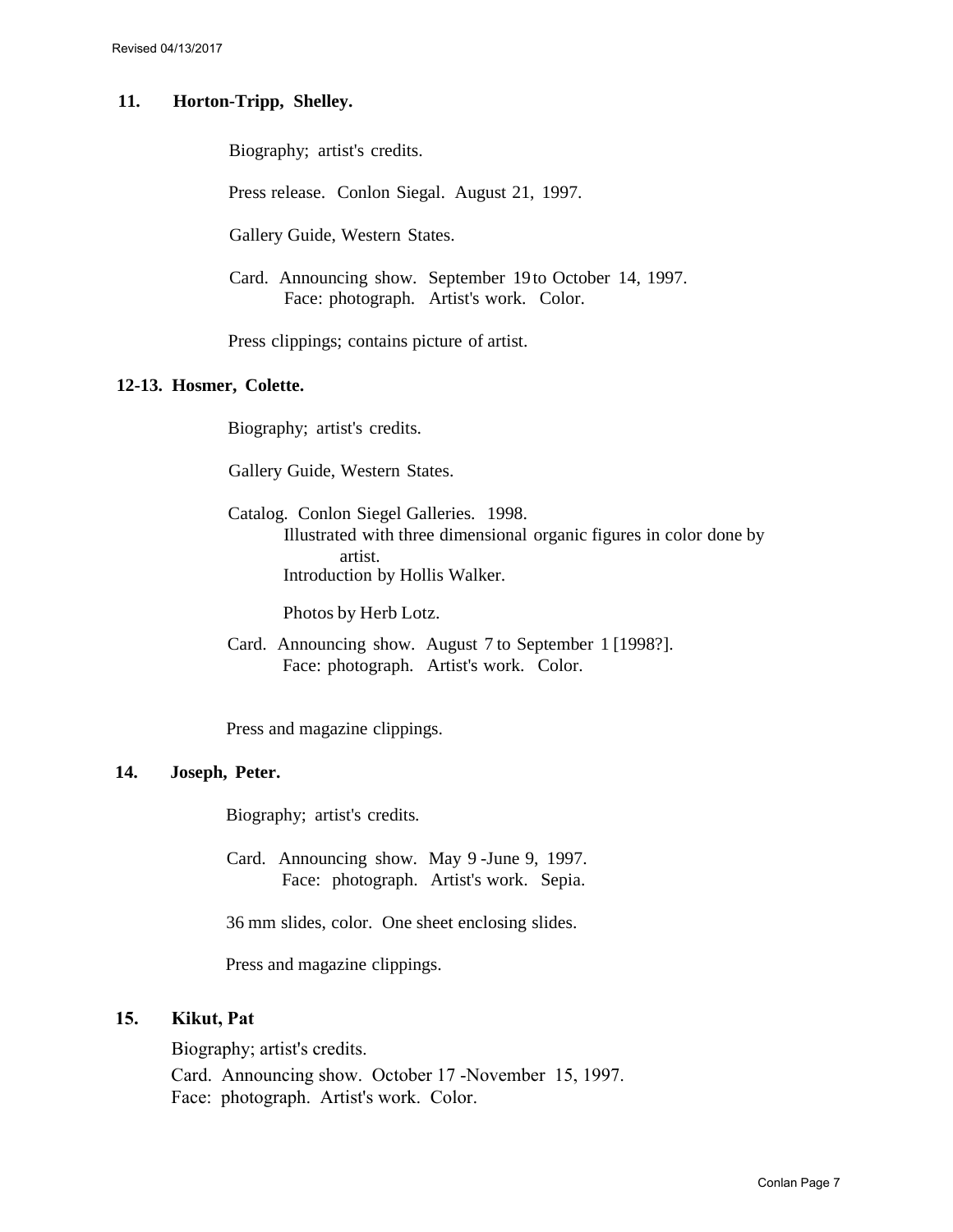#### **11. Horton-Tripp, Shelley.**

Biography; artist's credits.

Press release. Conlon Siegal. August 21, 1997.

Gallery Guide, Western States.

Card. Announcing show. September 19 to October 14, 1997. Face: photograph. Artist's work. Color.

Press clippings; contains picture of artist.

#### **12-13. Hosmer, Colette.**

Biography; artist's credits.

Gallery Guide, Western States.

Catalog. Conlon Siegel Galleries. 1998. Illustrated with three dimensional organic figures in color done by artist. Introduction by Hollis Walker.

Photos by Herb Lotz.

Card. Announcing show. August 7 to September 1 [1998?]. Face: photograph. Artist's work. Color.

Press and magazine clippings.

#### **14. Joseph, Peter.**

Biography; artist's credits.

Card. Announcing show. May 9 -June 9, 1997. Face: photograph. Artist's work. Sepia.

36 mm slides, color. One sheet enclosing slides.

Press and magazine clippings.

#### **15. Kikut, Pat**

Biography; artist's credits.

Card. Announcing show. October 17 -November 15, 1997. Face: photograph. Artist's work. Color.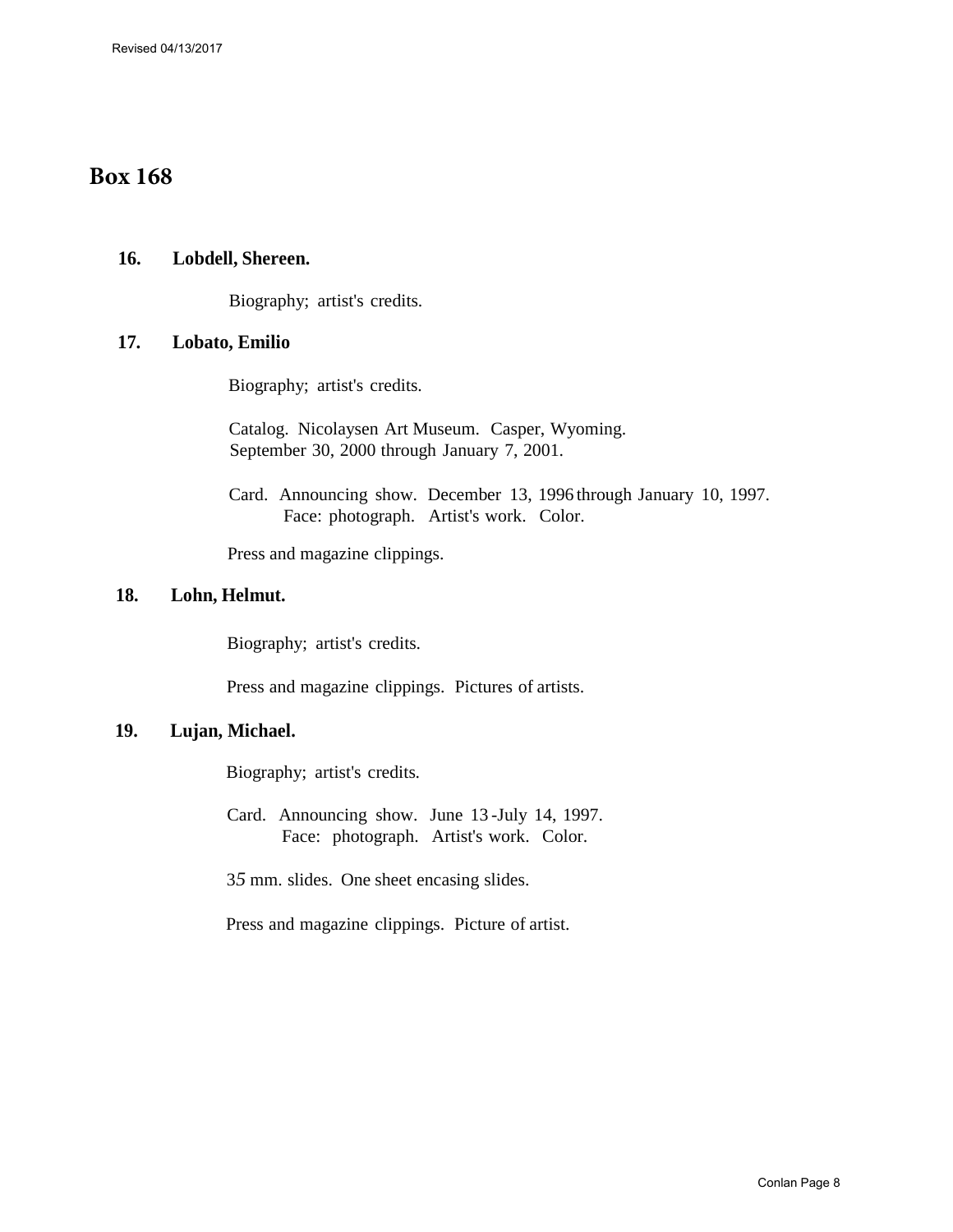### **Box 168**

#### **16. Lobdell, Shereen.**

Biography; artist's credits.

#### **17. Lobato, Emilio**

Biography; artist's credits.

Catalog. Nicolaysen Art Museum. Casper, Wyoming. September 30, 2000 through January 7, 2001.

Card. Announcing show. December 13, 1996 through January 10, 1997. Face: photograph. Artist's work. Color.

Press and magazine clippings.

#### **18. Lohn, Helmut.**

Biography; artist's credits.

Press and magazine clippings. Pictures of artists.

#### **19. Lujan, Michael.**

Biography; artist's credits.

Card. Announcing show. June 13 -July 14, 1997. Face: photograph. Artist's work. Color.

3*5* mm. slides. One sheet encasing slides.

Press and magazine clippings. Picture of artist.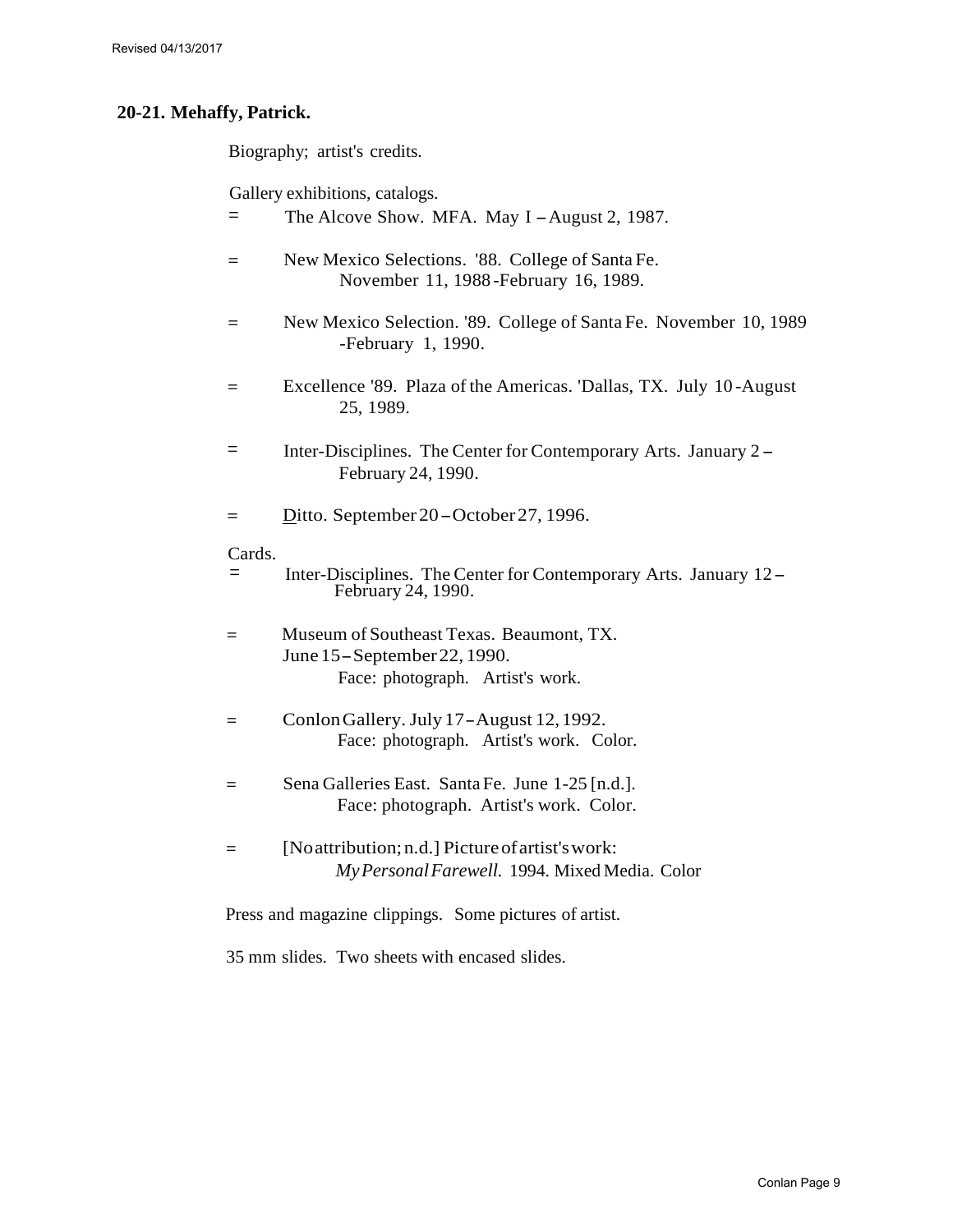#### **20-21. Mehaffy, Patrick.**

Biography; artist's credits.

Gallery exhibitions, catalogs.

- $=$  The Alcove Show. MFA. May I August 2, 1987.
- = New Mexico Selections. '88. College of Santa Fe. November 11, 1988 -February 16, 1989.
- = New Mexico Selection. '89. College of Santa Fe. November 10, 1989 -February 1, 1990.
- = Excellence '89. Plaza of the Americas. 'Dallas, TX. July 10 -August 25, 1989.
- = Inter-Disciplines. The Center for Contemporary Arts. January 2 February 24, 1990.
- $=$  Ditto. September 20 October 27, 1996.

#### Cards.

- = Inter-Disciplines. The Center for Contemporary Arts. January 12- February 24, 1990.
- = Museum of Southeast Texas. Beaumont, TX. June 15- September 22, 1990. Face: photograph. Artist's work.
- <sup>=</sup>Conlon Gallery. July 17- August 12,1992. Face: photograph. Artist's work. Color.
- = Sena Galleries East. SantaFe. June 1-25 [n.d.]. Face: photograph. Artist's work. Color.
- = [Noattribution;n.d.] Pictureofartist'swork: *MyPersonal Farewell.* 1994. Mixed Media. Color

Press and magazine clippings. Some pictures of artist.

35 mm slides. Two sheets with encased slides.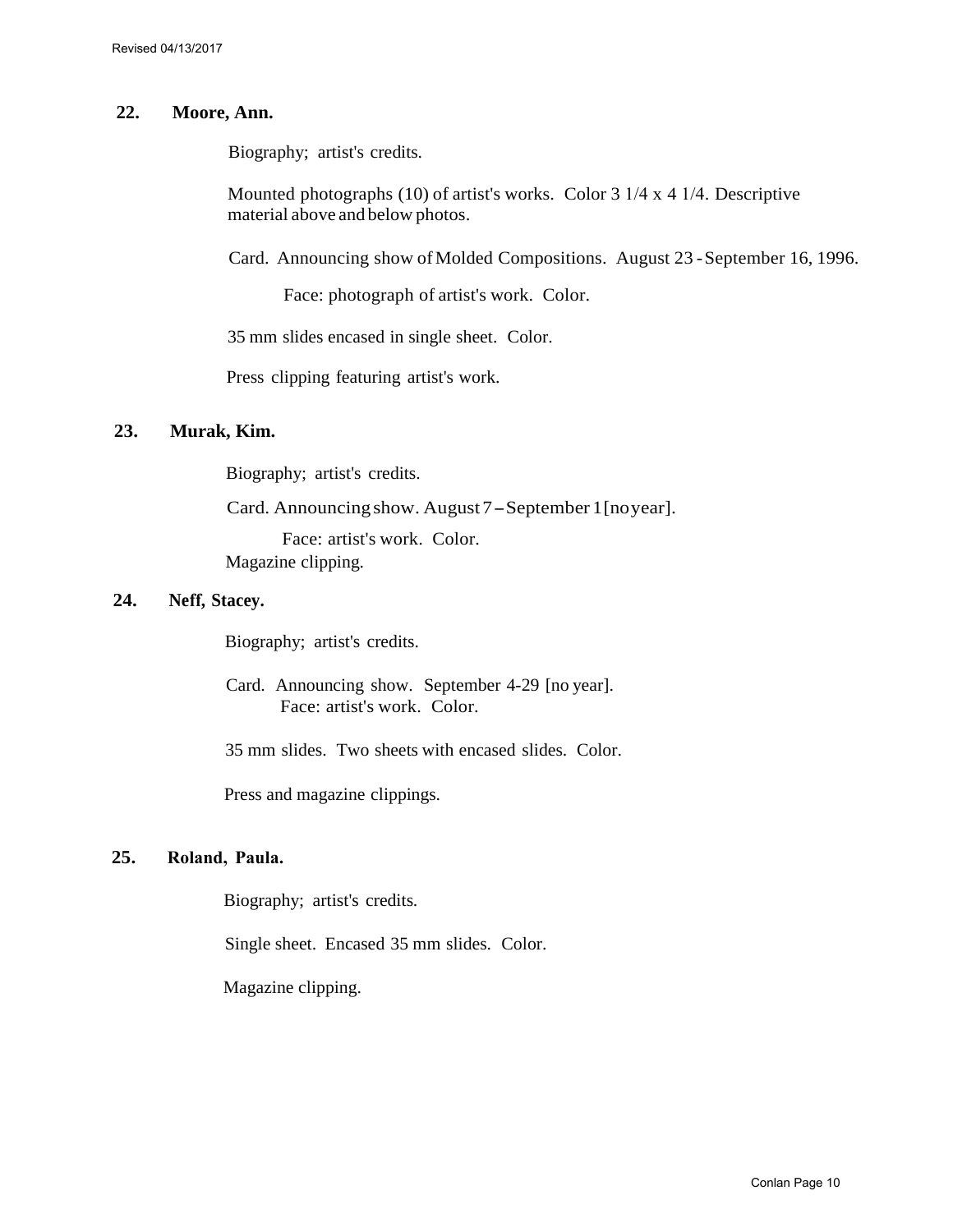#### **22. Moore, Ann.**

Biography; artist's credits.

Mounted photographs (10) of artist's works. Color 3 1/4 x 4 1/4. Descriptive material above and below photos.

Card. Announcing show of Molded Compositions. August 23 - September 16, 1996.

Face: photograph of artist's work. Color.

35 mm slides encased in single sheet. Color.

Press clipping featuring artist's work.

#### **23. Murak, Kim.**

Biography; artist's credits.

Card. Announcing show. August 7 - September 1 [noyear].

Face: artist's work. Color.

Magazine clipping.

#### **24. Neff, Stacey.**

Biography; artist's credits.

Card. Announcing show. September 4-29 [no year]. Face: artist's work. Color.

35 mm slides. Two sheets with encased slides. Color.

Press and magazine clippings.

#### **25. Roland, Paula.**

Biography; artist's credits.

Single sheet. Encased 35 mm slides. Color.

Magazine clipping.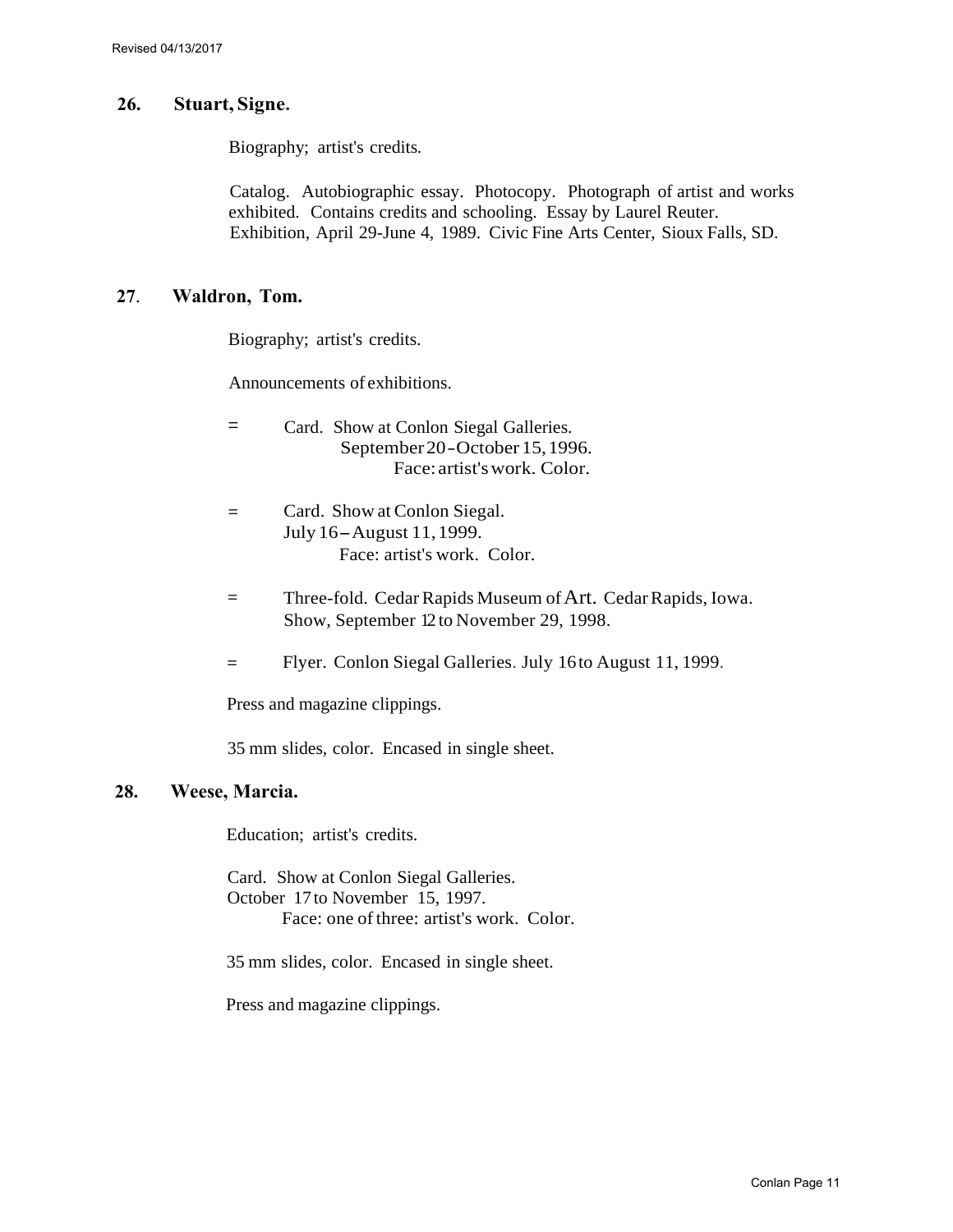#### **26. Stuart, Signe.**

Biography; artist's credits.

Catalog. Autobiographic essay. Photocopy. Photograph of artist and works exhibited. Contains credits and schooling. Essay by Laurel Reuter. Exhibition, April 29-June 4, 1989. Civic Fine Arts Center, Sioux Falls, SD.

#### **27**. **Waldron, Tom.**

Biography; artist's credits.

Announcements of exhibitions.

- = Card. Show at Conlon Siegal Galleries. September20- October 15,1996. Face: artist'swork. Color.
- = Card. Show at Conlon Siegal. July 16- August 11,1999. Face: artist's work. Color.
- = Three-fold. Cedar Rapids Museum of Art. Cedar Rapids, Iowa. Show, September 12 to November 29, 1998.
- = Flyer. Conlon Siegal Galleries. July 16to August 11, 1999.

Press and magazine clippings.

35 mm slides, color. Encased in single sheet.

#### **28. Weese, Marcia.**

Education; artist's credits.

Card. Show at Conlon Siegal Galleries. October 17 to November 15, 1997. Face: one of three: artist's work. Color.

35 mm slides, color. Encased in single sheet.

Press and magazine clippings.